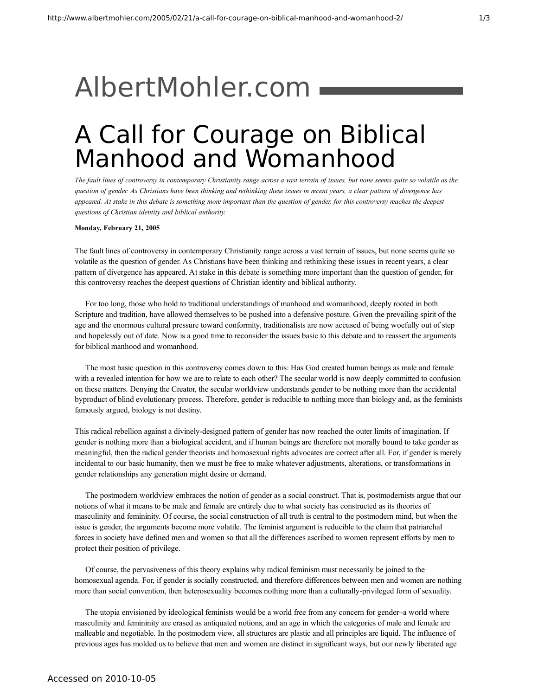## [AlbertMohler.com](http://www.albertmohler.com/)

## A Call for Courage on Biblical Manhood and Womanhood

The fault lines of controversy in contemporary Christianity range across a vast terrain of issues, but none seems quite so volatile as the question of gender. As Christians have been thinking and rethinking these issues in recent years, a clear pattern of divergence has appeared. At stake in this debate is something more important than the question of gender, for this controversy reaches the deepest *questions of Christian identity and biblical authority.*

## **Monday, February 21, 2005**

The fault lines of controversy in contemporary Christianity range across a vast terrain of issues, but none seems quite so volatile as the question of gender. As Christians have been thinking and rethinking these issues in recent years, a clear pattern of divergence has appeared. At stake in this debate is something more important than the question of gender, for this controversy reaches the deepest questions of Christian identity and biblical authority.

For too long, those who hold to traditional understandings of manhood and womanhood, deeply rooted in both Scripture and tradition, have allowed themselves to be pushed into a defensive posture. Given the prevailing spirit of the age and the enormous cultural pressure toward conformity, traditionalists are now accused of being woefully out of step and hopelessly out of date. Now is a good time to reconsider the issues basic to this debate and to reassert the arguments for biblical manhood and womanhood.

The most basic question in this controversy comes down to this: Has God created human beings as male and female with a revealed intention for how we are to relate to each other? The secular world is now deeply committed to confusion on these matters. Denying the Creator, the secular worldview understands gender to be nothing more than the accidental byproduct of blind evolutionary process. Therefore, gender is reducible to nothing more than biology and, as the feminists famously argued, biology is not destiny.

This radical rebellion against a divinely-designed pattern of gender has now reached the outer limits of imagination. If gender is nothing more than a biological accident, and if human beings are therefore not morally bound to take gender as meaningful, then the radical gender theorists and homosexual rights advocates are correct after all. For, if gender is merely incidental to our basic humanity, then we must be free to make whatever adjustments, alterations, or transformations in gender relationships any generation might desire or demand.

The postmodern worldview embraces the notion of gender as a social construct. That is, postmodernists argue that our notions of what it means to be male and female are entirely due to what society has constructed as its theories of masculinity and femininity. Of course, the social construction of all truth is central to the postmodern mind, but when the issue is gender, the arguments become more volatile. The feminist argument is reducible to the claim that patriarchal forces in society have defined men and women so that all the differences ascribed to women represent efforts by men to protect their position of privilege.

Of course, the pervasiveness of this theory explains why radical feminism must necessarily be joined to the homosexual agenda. For, if gender is socially constructed, and therefore differences between men and women are nothing more than social convention, then heterosexuality becomes nothing more than a culturally-privileged form of sexuality.

The utopia envisioned by ideological feminists would be a world free from any concern for gender–a world where masculinity and femininity are erased as antiquated notions, and an age in which the categories of male and female are malleable and negotiable. In the postmodern view, all structures are plastic and all principles are liquid. The influence of previous ages has molded us to believe that men and women are distinct in significant ways, but our newly liberated age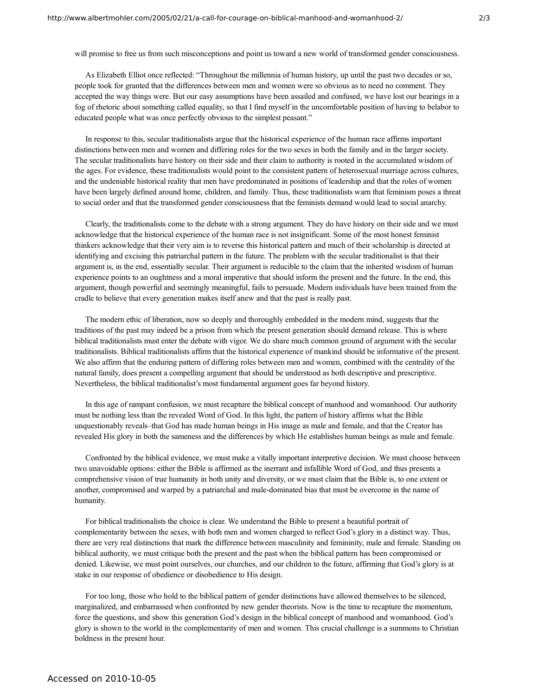will promise to free us from such misconceptions and point us toward a new world of transformed gender consciousness.

As Elizabeth Elliot once reflected: "Throughout the millennia of human history, up until the past two decades or so, people took for granted that the differences between men and women were so obvious as to need no comment. They accepted the way things were. But our easy assumptions have been assailed and confused, we have lost our bearings in a fog of rhetoric about something called equality, so that I find myself in the uncomfortable position of having to belabor to educated people what was once perfectly obvious to the simplest peasant."

In response to this, secular traditionalists argue that the historical experience of the human race affirms important distinctions between men and women and differing roles for the two sexes in both the family and in the larger society. The secular traditionalists have history on their side and their claim to authority is rooted in the accumulated wisdom of the ages. For evidence, these traditionalists would point to the consistent pattern of heterosexual marriage across cultures, and the undeniable historical reality that men have predominated in positions of leadership and that the roles of women have been largely defined around home, children, and family. Thus, these traditionalists warn that feminism poses a threat to social order and that the transformed gender consciousness that the feminists demand would lead to social anarchy.

Clearly, the traditionalists come to the debate with a strong argument. They do have history on their side and we must acknowledge that the historical experience of the human race is not insignificant. Some of the most honest feminist thinkers acknowledge that their very aim is to reverse this historical pattern and much of their scholarship is directed at identifying and excising this patriarchal pattern in the future. The problem with the secular traditionalist is that their argument is, in the end, essentially secular. Their argument is reducible to the claim that the inherited wisdom of human experience points to an oughtness and a moral imperative that should inform the present and the future. In the end, this argument, though powerful and seemingly meaningful, fails to persuade. Modern individuals have been trained from the cradle to believe that every generation makes itself anew and that the past is really past.

The modern ethic of liberation, now so deeply and thoroughly embedded in the modern mind, suggests that the traditions of the past may indeed be a prison from which the present generation should demand release. This is where biblical traditionalists must enter the debate with vigor. We do share much common ground of argument with the secular traditionalists. Biblical traditionalists affirm that the historical experience of mankind should be informative of the present. We also affirm that the enduring pattern of differing roles between men and women, combined with the centrality of the natural family, does present a compelling argument that should be understood as both descriptive and prescriptive. Nevertheless, the biblical traditionalist's most fundamental argument goes far beyond history.

In this age of rampant confusion, we must recapture the biblical concept of manhood and womanhood. Our authority must be nothing less than the revealed Word of God. In this light, the pattern of history affirms what the Bible unquestionably reveals–that God has made human beings in His image as male and female, and that the Creator has revealed His glory in both the sameness and the differences by which He establishes human beings as male and female.

Confronted by the biblical evidence, we must make a vitally important interpretive decision. We must choose between two unavoidable options: either the Bible is affirmed as the inerrant and infallible Word of God, and thus presents a comprehensive vision of true humanity in both unity and diversity, or we must claim that the Bible is, to one extent or another, compromised and warped by a patriarchal and male-dominated bias that must be overcome in the name of humanity.

For biblical traditionalists the choice is clear. We understand the Bible to present a beautiful portrait of complementarity between the sexes, with both men and women charged to reflect God's glory in a distinct way. Thus, there are very real distinctions that mark the difference between masculinity and femininity, male and female. Standing on biblical authority, we must critique both the present and the past when the biblical pattern has been compromised or denied. Likewise, we must point ourselves, our churches, and our children to the future, affirming that God's glory is at stake in our response of obedience or disobedience to His design.

For too long, those who hold to the biblical pattern of gender distinctions have allowed themselves to be silenced, marginalized, and embarrassed when confronted by new gender theorists. Now is the time to recapture the momentum, force the questions, and show this generation God's design in the biblical concept of manhood and womanhood. God's glory is shown to the world in the complementarity of men and women. This crucial challenge is a summons to Christian boldness in the present hour.